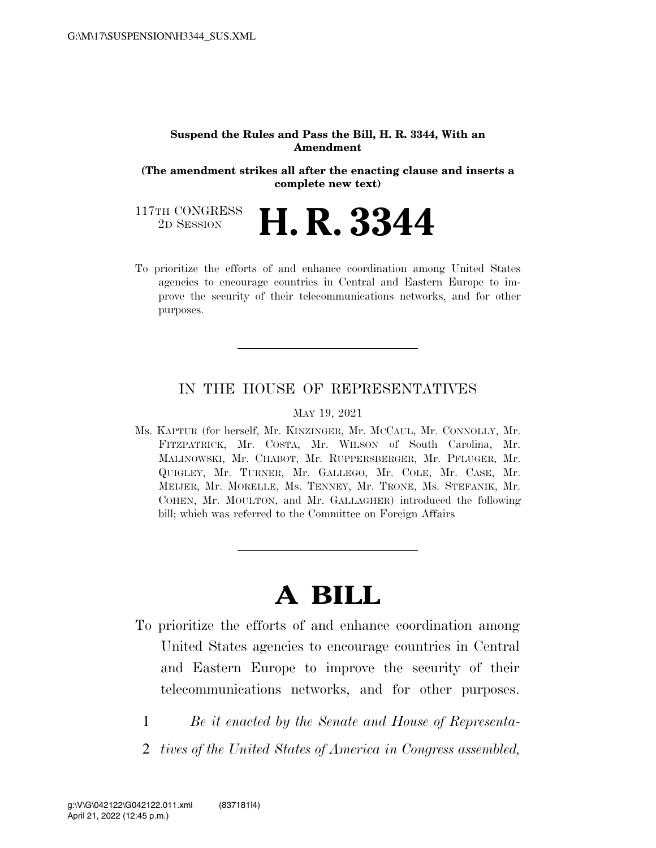#### **Suspend the Rules and Pass the Bill, H. R. 3344, With an Amendment**

**(The amendment strikes all after the enacting clause and inserts a complete new text)** 

117TH CONGRESS<br>2D SESSION **H. R. 3344** 

To prioritize the efforts of and enhance coordination among United States agencies to encourage countries in Central and Eastern Europe to improve the security of their telecommunications networks, and for other purposes.

#### IN THE HOUSE OF REPRESENTATIVES

#### MAY 19, 2021

Ms. KAPTUR (for herself, Mr. KINZINGER, Mr. MCCAUL, Mr. CONNOLLY, Mr. FITZPATRICK, Mr. COSTA, Mr. WILSON of South Carolina, Mr. MALINOWSKI, Mr. CHABOT, Mr. RUPPERSBERGER, Mr. PFLUGER, Mr. QUIGLEY, Mr. TURNER, Mr. GALLEGO, Mr. COLE, Mr. CASE, Mr. MEIJER, Mr. MORELLE, Ms. TENNEY, Mr. TRONE, Ms. STEFANIK, Mr. COHEN, Mr. MOULTON, and Mr. GALLAGHER) introduced the following bill; which was referred to the Committee on Foreign Affairs

# **A BILL**

- To prioritize the efforts of and enhance coordination among United States agencies to encourage countries in Central and Eastern Europe to improve the security of their telecommunications networks, and for other purposes.
	- 1 *Be it enacted by the Senate and House of Representa-*
	- 2 *tives of the United States of America in Congress assembled,*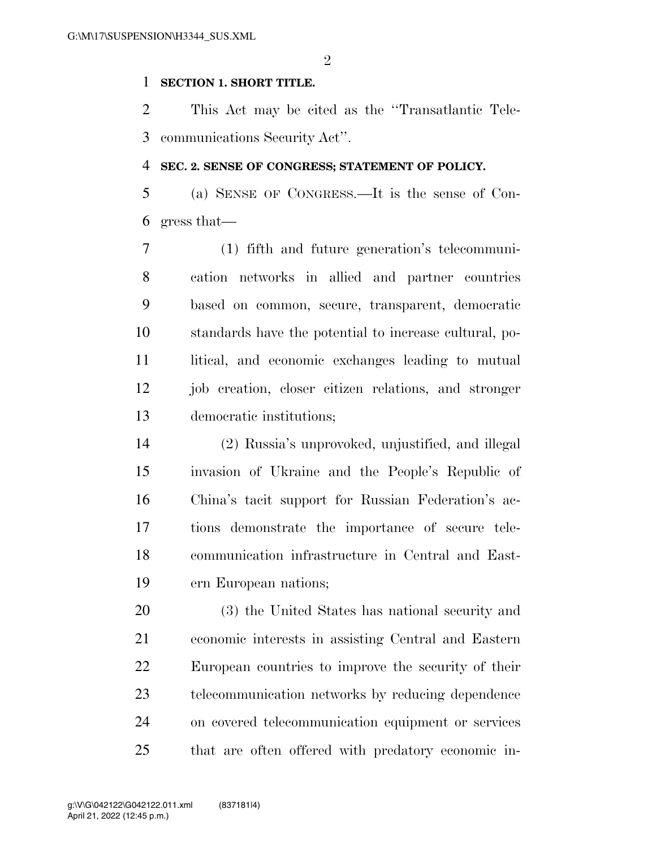$\mathfrak{D}$ 

#### **SECTION 1. SHORT TITLE.**

 This Act may be cited as the ''Transatlantic Tele-communications Security Act''.

#### **SEC. 2. SENSE OF CONGRESS; STATEMENT OF POLICY.**

 (a) SENSE OF CONGRESS.—It is the sense of Con-gress that—

 (1) fifth and future generation's telecommuni- cation networks in allied and partner countries based on common, secure, transparent, democratic standards have the potential to increase cultural, po-11 litical, and economic exchanges leading to mutual job creation, closer citizen relations, and stronger democratic institutions;

 (2) Russia's unprovoked, unjustified, and illegal invasion of Ukraine and the People's Republic of China's tacit support for Russian Federation's ac- tions demonstrate the importance of secure tele- communication infrastructure in Central and East-ern European nations;

 (3) the United States has national security and economic interests in assisting Central and Eastern European countries to improve the security of their telecommunication networks by reducing dependence on covered telecommunication equipment or services that are often offered with predatory economic in-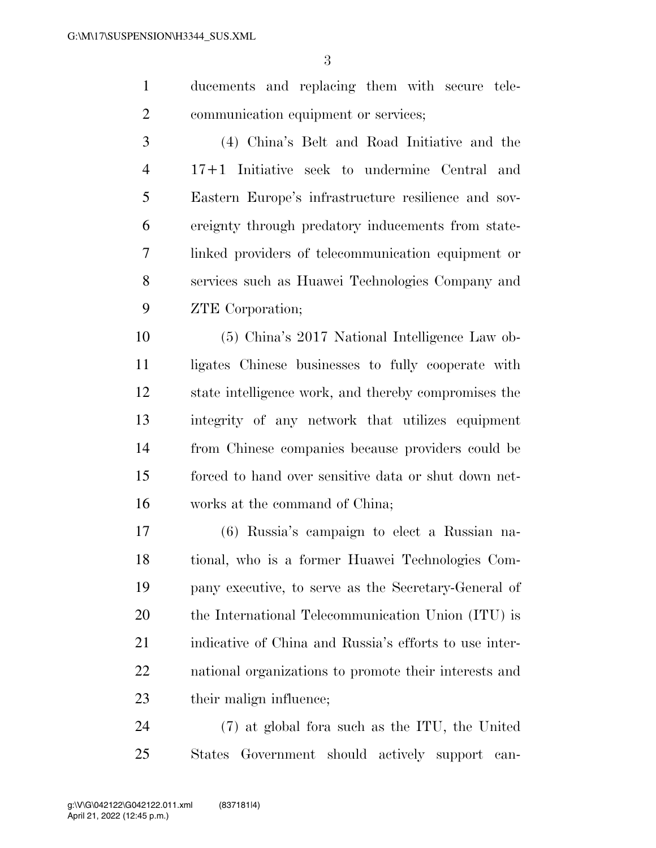ducements and replacing them with secure tele-communication equipment or services;

 (4) China's Belt and Road Initiative and the 17+1 Initiative seek to undermine Central and Eastern Europe's infrastructure resilience and sov- ereignty through predatory inducements from state- linked providers of telecommunication equipment or services such as Huawei Technologies Company and ZTE Corporation;

 (5) China's 2017 National Intelligence Law ob- ligates Chinese businesses to fully cooperate with state intelligence work, and thereby compromises the integrity of any network that utilizes equipment from Chinese companies because providers could be forced to hand over sensitive data or shut down net-works at the command of China;

 (6) Russia's campaign to elect a Russian na- tional, who is a former Huawei Technologies Com- pany executive, to serve as the Secretary-General of the International Telecommunication Union (ITU) is indicative of China and Russia's efforts to use inter- national organizations to promote their interests and 23 their malign influence;

 (7) at global fora such as the ITU, the United States Government should actively support can-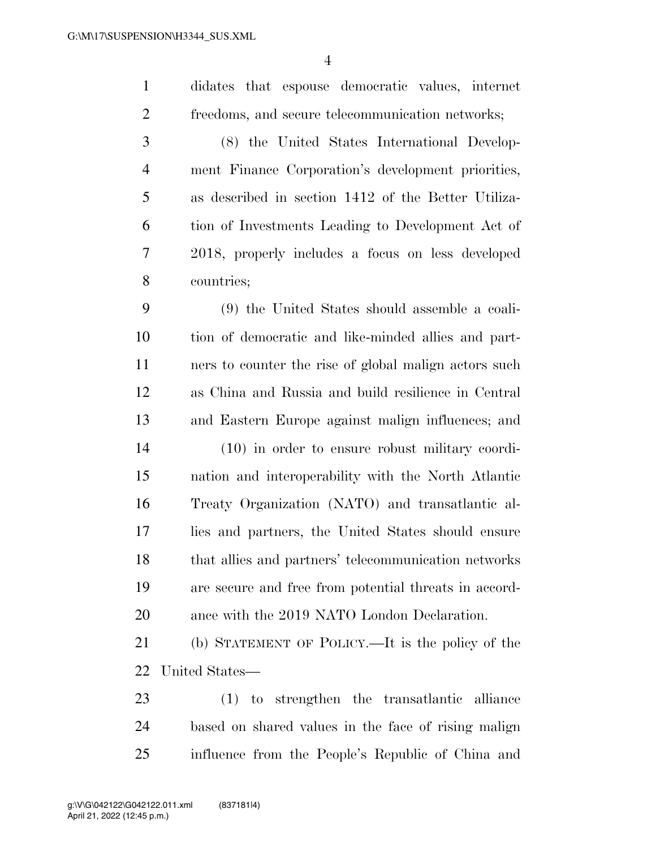didates that espouse democratic values, internet freedoms, and secure telecommunication networks; (8) the United States International Develop- ment Finance Corporation's development priorities, as described in section 1412 of the Better Utiliza- tion of Investments Leading to Development Act of 2018, properly includes a focus on less developed countries; (9) the United States should assemble a coali- tion of democratic and like-minded allies and part- ners to counter the rise of global malign actors such as China and Russia and build resilience in Central and Eastern Europe against malign influences; and (10) in order to ensure robust military coordi- nation and interoperability with the North Atlantic Treaty Organization (NATO) and transatlantic al- lies and partners, the United States should ensure that allies and partners' telecommunication networks are secure and free from potential threats in accord-ance with the 2019 NATO London Declaration.

 (b) STATEMENT OF POLICY.—It is the policy of the United States—

 (1) to strengthen the transatlantic alliance based on shared values in the face of rising malign influence from the People's Republic of China and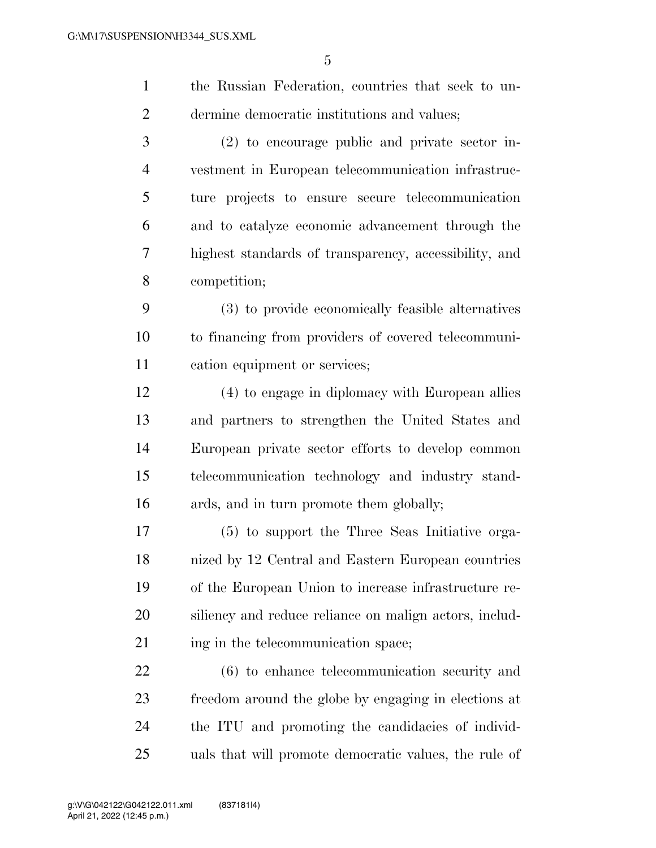| $1 -$ | the Russian Federation, countries that seek to un- |
|-------|----------------------------------------------------|
| 2     | dermine democratic institutions and values;        |
| 3     | $(2)$ to encourage public and private sector in-   |

 vestment in European telecommunication infrastruc- ture projects to ensure secure telecommunication and to catalyze economic advancement through the highest standards of transparency, accessibility, and competition;

 (3) to provide economically feasible alternatives to financing from providers of covered telecommuni-cation equipment or services;

 (4) to engage in diplomacy with European allies and partners to strengthen the United States and European private sector efforts to develop common telecommunication technology and industry stand-ards, and in turn promote them globally;

 (5) to support the Three Seas Initiative orga- nized by 12 Central and Eastern European countries of the European Union to increase infrastructure re- siliency and reduce reliance on malign actors, includ-21 ing in the telecommunication space;

 (6) to enhance telecommunication security and freedom around the globe by engaging in elections at the ITU and promoting the candidacies of individ-uals that will promote democratic values, the rule of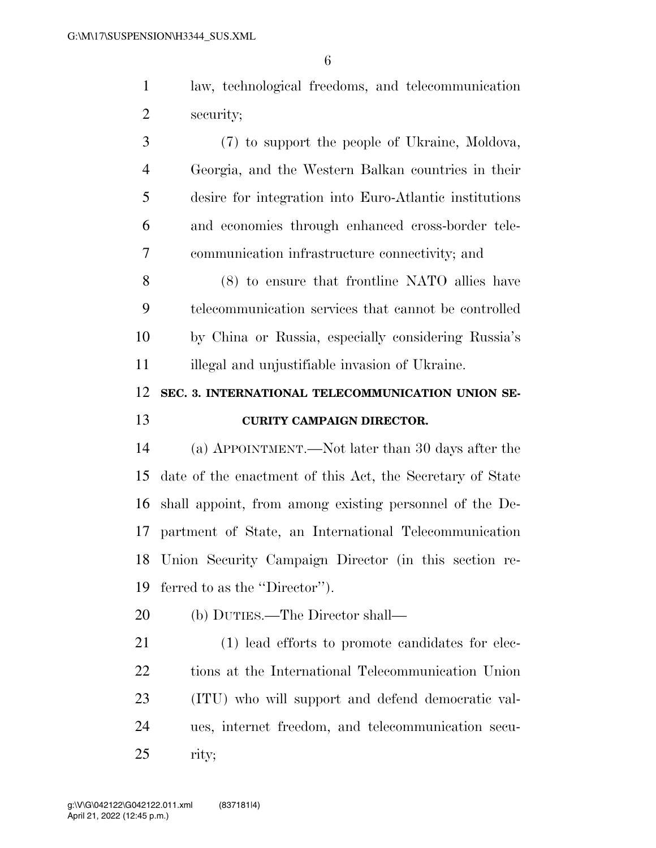law, technological freedoms, and telecommunication security;

 (7) to support the people of Ukraine, Moldova, Georgia, and the Western Balkan countries in their desire for integration into Euro-Atlantic institutions and economies through enhanced cross-border tele-communication infrastructure connectivity; and

 (8) to ensure that frontline NATO allies have telecommunication services that cannot be controlled by China or Russia, especially considering Russia's illegal and unjustifiable invasion of Ukraine.

### **SEC. 3. INTERNATIONAL TELECOMMUNICATION UNION SE-CURITY CAMPAIGN DIRECTOR.**

 (a) APPOINTMENT.—Not later than 30 days after the date of the enactment of this Act, the Secretary of State shall appoint, from among existing personnel of the De- partment of State, an International Telecommunication Union Security Campaign Director (in this section re-ferred to as the ''Director'').

(b) DUTIES.—The Director shall—

 (1) lead efforts to promote candidates for elec- tions at the International Telecommunication Union (ITU) who will support and defend democratic val- ues, internet freedom, and telecommunication secu-rity;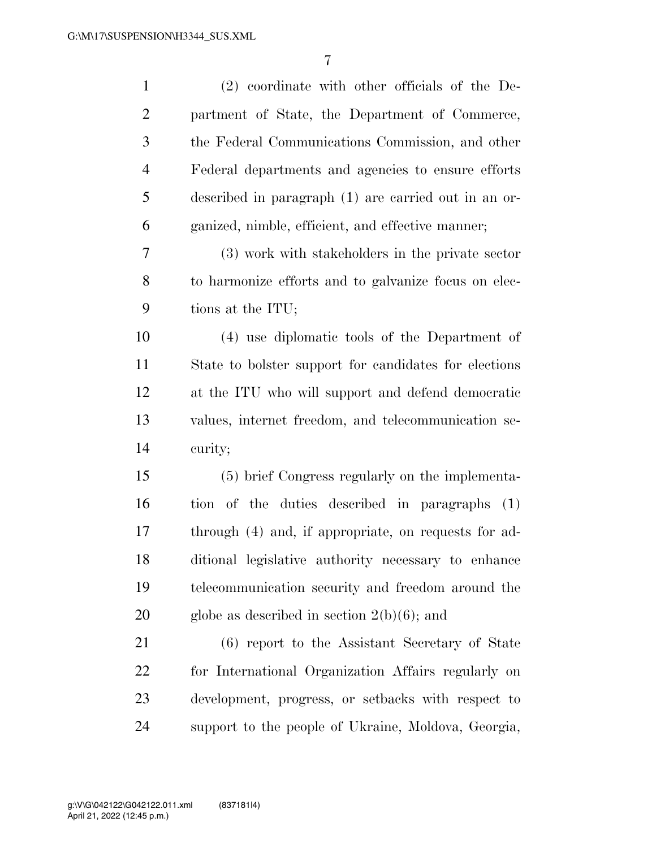| $\mathbf{1}$   | $(2)$ coordinate with other officials of the De-      |
|----------------|-------------------------------------------------------|
| $\overline{2}$ | partment of State, the Department of Commerce,        |
| $\mathfrak{Z}$ | the Federal Communications Commission, and other      |
| $\overline{4}$ | Federal departments and agencies to ensure efforts    |
| 5              | described in paragraph (1) are carried out in an or-  |
| 6              | ganized, nimble, efficient, and effective manner;     |
| 7              | (3) work with stakeholders in the private sector      |
| 8              | to harmonize efforts and to galvanize focus on elec-  |
| 9              | tions at the ITU;                                     |
| 10             | (4) use diplomatic tools of the Department of         |
| 11             | State to bolster support for candidates for elections |
| 12             | at the ITU who will support and defend democratic     |
| 13             | values, internet freedom, and telecommunication se-   |
| 14             | curity;                                               |
| 15             | (5) brief Congress regularly on the implementa-       |
| 16             | tion of the duties described in paragraphs (1)        |
| 17             | through (4) and, if appropriate, on requests for ad-  |
| 18             | ditional legislative authority necessary to enhance   |
| 19             | telecommunication security and freedom around the     |
| 20             | globe as described in section $2(b)(6)$ ; and         |
| 21             | (6) report to the Assistant Secretary of State        |
| 22             | for International Organization Affairs regularly on   |
| 23             | development, progress, or setbacks with respect to    |
| 24             | support to the people of Ukraine, Moldova, Georgia,   |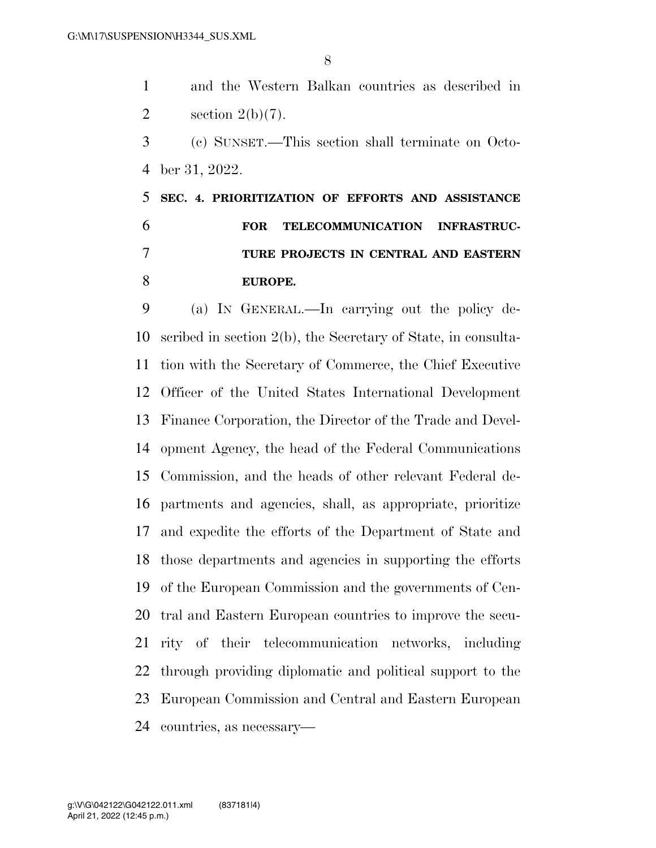and the Western Balkan countries as described in 2 section  $2(b)(7)$ .

 (c) SUNSET.—This section shall terminate on Octo-ber 31, 2022.

## **SEC. 4. PRIORITIZATION OF EFFORTS AND ASSISTANCE FOR TELECOMMUNICATION INFRASTRUC- TURE PROJECTS IN CENTRAL AND EASTERN EUROPE.**

 (a) IN GENERAL.—In carrying out the policy de- scribed in section 2(b), the Secretary of State, in consulta- tion with the Secretary of Commerce, the Chief Executive Officer of the United States International Development Finance Corporation, the Director of the Trade and Devel- opment Agency, the head of the Federal Communications Commission, and the heads of other relevant Federal de- partments and agencies, shall, as appropriate, prioritize and expedite the efforts of the Department of State and those departments and agencies in supporting the efforts of the European Commission and the governments of Cen- tral and Eastern European countries to improve the secu- rity of their telecommunication networks, including through providing diplomatic and political support to the European Commission and Central and Eastern European countries, as necessary—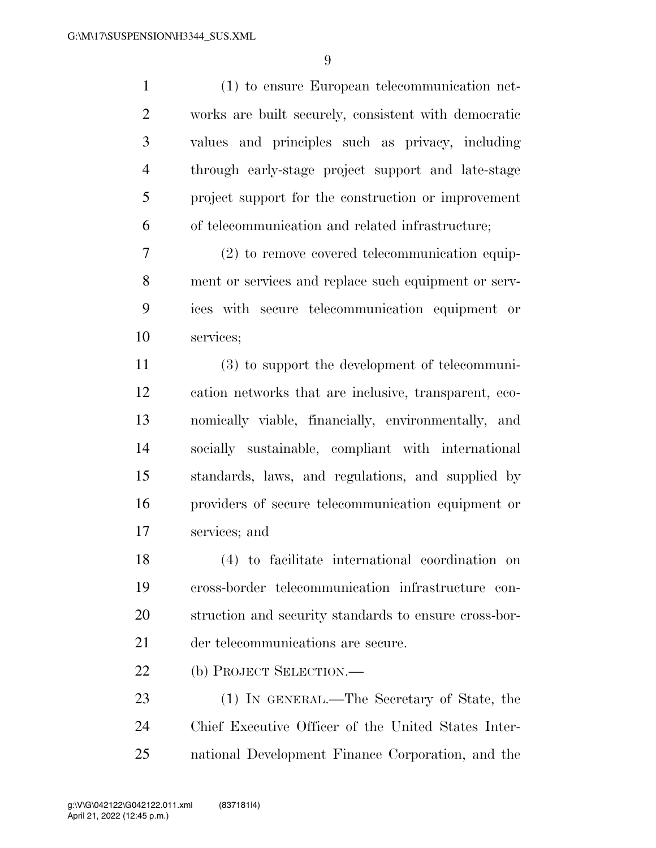(1) to ensure European telecommunication net- works are built securely, consistent with democratic values and principles such as privacy, including through early-stage project support and late-stage project support for the construction or improvement of telecommunication and related infrastructure;

 (2) to remove covered telecommunication equip- ment or services and replace such equipment or serv- ices with secure telecommunication equipment or services;

 (3) to support the development of telecommuni- cation networks that are inclusive, transparent, eco- nomically viable, financially, environmentally, and socially sustainable, compliant with international standards, laws, and regulations, and supplied by providers of secure telecommunication equipment or services; and

 (4) to facilitate international coordination on cross-border telecommunication infrastructure con- struction and security standards to ensure cross-bor-der telecommunications are secure.

(b) PROJECT SELECTION.—

 (1) IN GENERAL.—The Secretary of State, the Chief Executive Officer of the United States Inter-national Development Finance Corporation, and the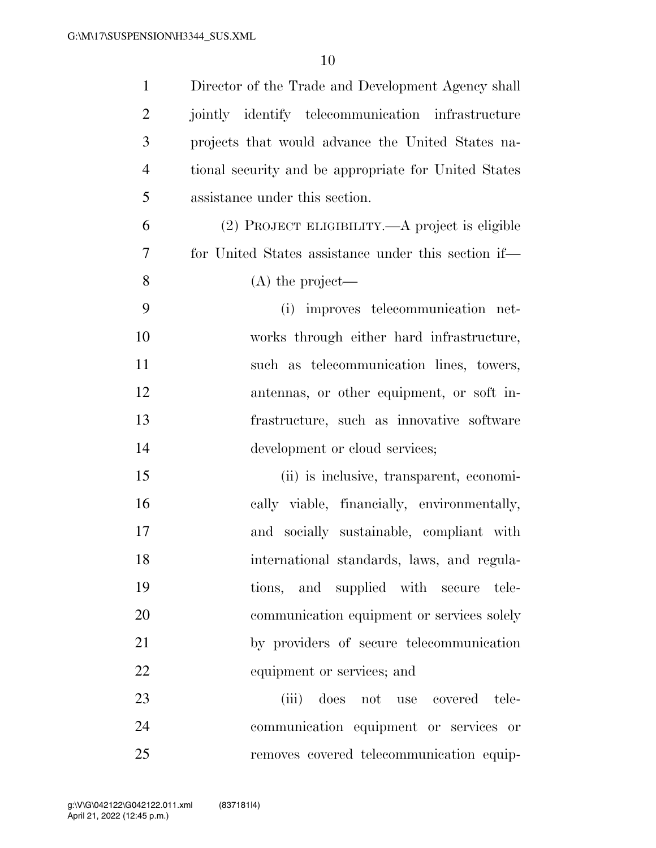| $\mathbf{1}$   | Director of the Trade and Development Agency shall   |
|----------------|------------------------------------------------------|
| $\overline{2}$ | jointly identify telecommunication infrastructure    |
| 3              | projects that would advance the United States na-    |
| $\overline{4}$ | tional security and be appropriate for United States |
| 5              | assistance under this section.                       |
| 6              | (2) PROJECT ELIGIBILITY.—A project is eligible       |
| 7              | for United States assistance under this section if—  |
| 8              | $(A)$ the project—                                   |
| 9              | (i) improves telecommunication net-                  |
| 10             | works through either hard infrastructure,            |
| 11             | such as telecommunication lines, towers,             |
| 12             | antennas, or other equipment, or soft in-            |
| 13             | frastructure, such as innovative software            |
| 14             | development or cloud services;                       |
| 15             | (ii) is inclusive, transparent, economi-             |
| 16             | cally viable, financially, environmentally,          |
| 17             | and socially sustainable, compliant with             |
| 18             | international standards, laws, and regula-           |
| 19             | tions, and supplied with secure tele-                |
| 20             | communication equipment or services solely           |
| 21             | by providers of secure telecommunication             |
| 22             | equipment or services; and                           |
| 23             | (iii)<br>does not use covered tele-                  |
| 24             | communication equipment or services or               |
| 25             | removes covered telecommunication equip-             |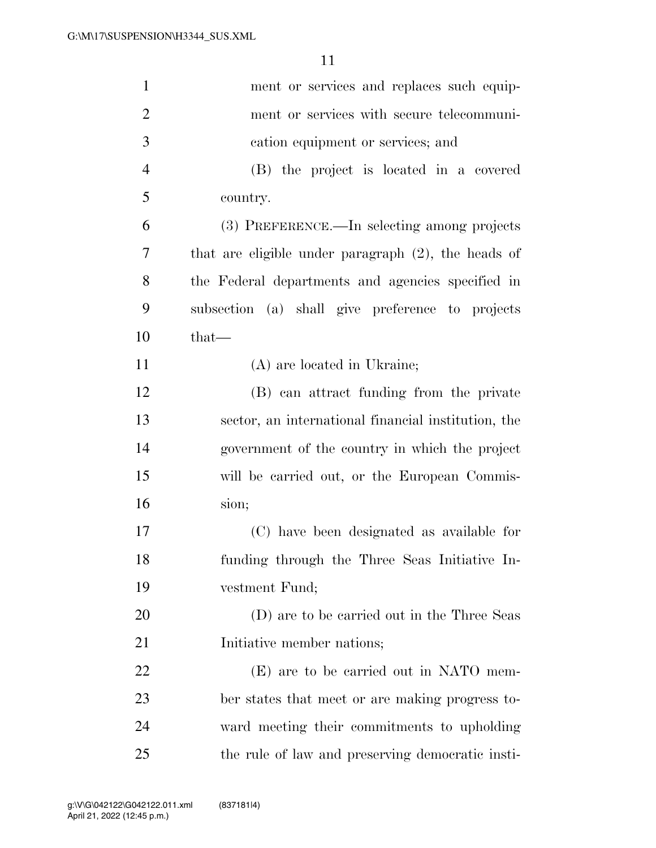| $\mathbf{1}$   | ment or services and replaces such equip-              |
|----------------|--------------------------------------------------------|
| $\overline{2}$ | ment or services with secure telecommuni-              |
| 3              | cation equipment or services; and                      |
| $\overline{4}$ | (B) the project is located in a covered                |
| 5              | country.                                               |
| 6              | (3) PREFERENCE.—In selecting among projects            |
| 7              | that are eligible under paragraph $(2)$ , the heads of |
| 8              | the Federal departments and agencies specified in      |
| 9              | subsection (a) shall give preference to projects       |
| 10             | $that-$                                                |
| 11             | (A) are located in Ukraine;                            |
| 12             | (B) can attract funding from the private               |
| 13             | sector, an international financial institution, the    |
| 14             | government of the country in which the project         |
| 15             | will be carried out, or the European Commis-           |
| 16             | sion;                                                  |
| 17             | (C) have been designated as available for              |
| 18             | funding through the Three Seas Initiative In-          |
| 19             | vestment Fund;                                         |
| 20             | (D) are to be carried out in the Three Seas            |
| 21             | Initiative member nations;                             |
| 22             | (E) are to be carried out in NATO mem-                 |
| 23             | ber states that meet or are making progress to-        |
| 24             | ward meeting their commitments to upholding            |
| 25             | the rule of law and preserving democratic insti-       |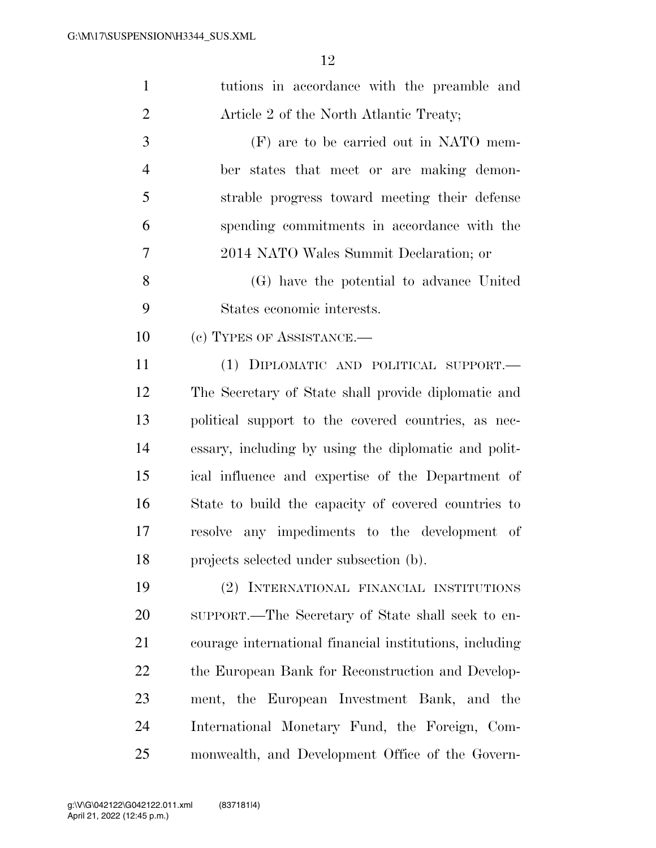| $\mathbf{1}$   | tutions in accordance with the preamble and             |
|----------------|---------------------------------------------------------|
| $\overline{2}$ | Article 2 of the North Atlantic Treaty;                 |
| 3              | (F) are to be carried out in NATO mem-                  |
| $\overline{4}$ | ber states that meet or are making demon-               |
| 5              | strable progress toward meeting their defense           |
| 6              | spending commitments in accordance with the             |
| 7              | 2014 NATO Wales Summit Declaration; or                  |
| 8              | (G) have the potential to advance United                |
| 9              | States economic interests.                              |
| 10             | (c) TYPES OF ASSISTANCE.—                               |
| 11             | (1) DIPLOMATIC AND POLITICAL SUPPORT.—                  |
| 12             | The Secretary of State shall provide diplomatic and     |
| 13             | political support to the covered countries, as nec-     |
| 14             | essary, including by using the diplomatic and polit-    |
| 15             | ical influence and expertise of the Department of       |
| 16             | State to build the capacity of covered countries to     |
| 17             | any impediments to the development of<br>resolve        |
| 18             | projects selected under subsection (b).                 |
| 19             | (2) INTERNATIONAL FINANCIAL INSTITUTIONS                |
| 20             | SUPPORT.—The Secretary of State shall seek to en-       |
| 21             | courage international financial institutions, including |
| 22             | the European Bank for Reconstruction and Develop-       |
| 23             | ment, the European Investment Bank, and the             |
| 24             | International Monetary Fund, the Foreign, Com-          |
| 25             | monwealth, and Development Office of the Govern-        |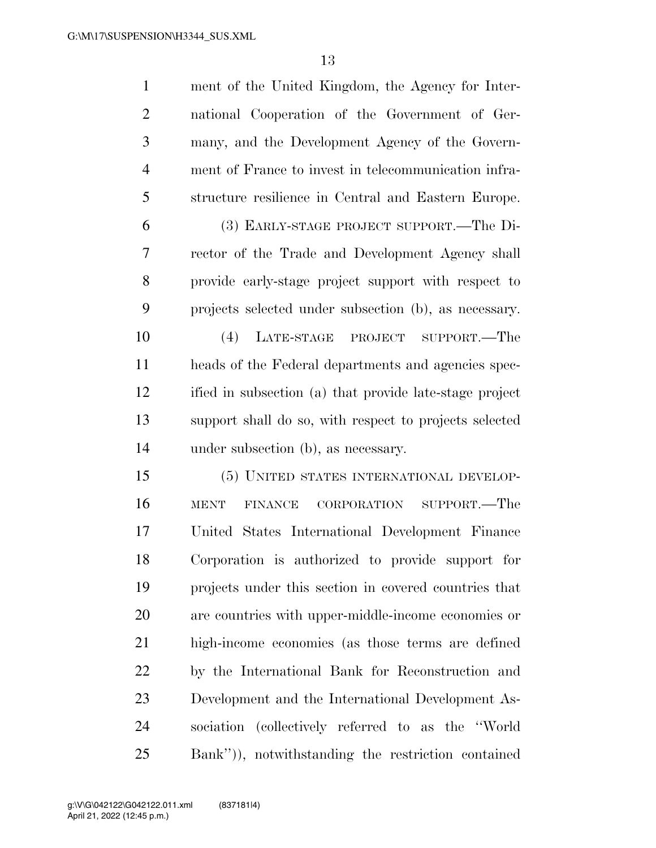| $\mathbf{1}$   | ment of the United Kingdom, the Agency for Inter-            |
|----------------|--------------------------------------------------------------|
| $\overline{2}$ | national Cooperation of the Government of Ger-               |
| 3              | many, and the Development Agency of the Govern-              |
| $\overline{4}$ | ment of France to invest in telecommunication infra-         |
| 5              | structure resilience in Central and Eastern Europe.          |
| 6              | (3) EARLY-STAGE PROJECT SUPPORT.—The Di-                     |
| 7              | rector of the Trade and Development Agency shall             |
| 8              | provide early-stage project support with respect to          |
| 9              | projects selected under subsection (b), as necessary.        |
| 10             | LATE-STAGE PROJECT SUPPORT.—The<br>(4)                       |
| 11             | heads of the Federal departments and agencies spec-          |
| 12             | ified in subsection (a) that provide late-stage project      |
| 13             | support shall do so, with respect to projects selected       |
| 14             | under subsection (b), as necessary.                          |
| 15             | (5) UNITED STATES INTERNATIONAL DEVELOP-                     |
| 16             | SUPPORT.—The<br>CORPORATION<br><b>MENT</b><br><b>FINANCE</b> |
| 17             | United States International Development Finance              |
| 18             | Corporation is authorized to provide support for             |
| 19             | projects under this section in covered countries that        |
| 20             | are countries with upper-middle-income economies or          |
| 21             | high-income economies (as those terms are defined            |
| 22             | by the International Bank for Reconstruction and             |
| 23             | Development and the International Development As-            |
| 24             | sociation (collectively referred to as the "World            |
| 25             | Bank")), notwithstanding the restriction contained           |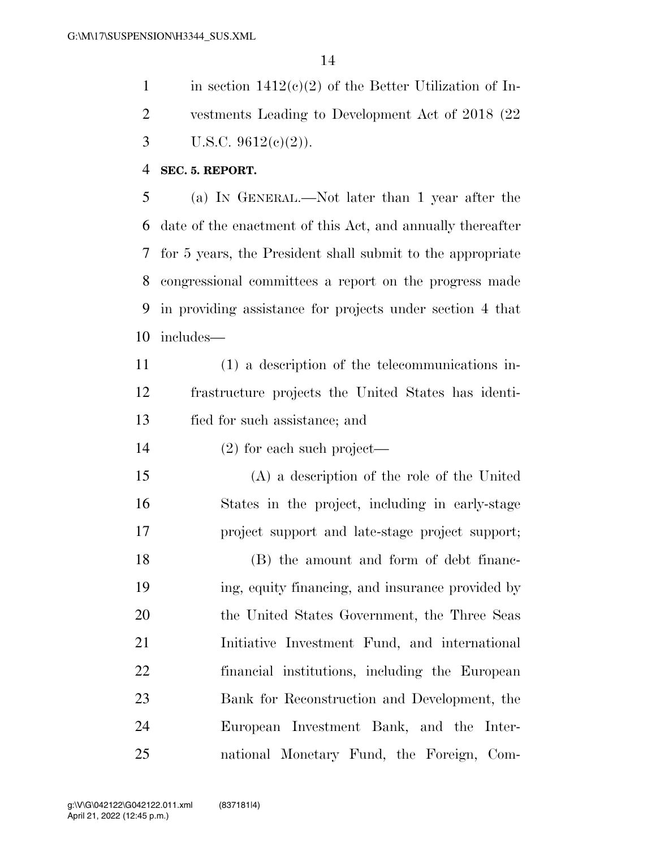1 in section  $1412(c)(2)$  of the Better Utilization of In- vestments Leading to Development Act of 2018 (22 3 U.S.C.  $9612(c)(2)$ ).

#### **SEC. 5. REPORT.**

 (a) IN GENERAL.—Not later than 1 year after the date of the enactment of this Act, and annually thereafter for 5 years, the President shall submit to the appropriate congressional committees a report on the progress made in providing assistance for projects under section 4 that includes—

 (1) a description of the telecommunications in- frastructure projects the United States has identi-fied for such assistance; and

(2) for each such project—

 (A) a description of the role of the United States in the project, including in early-stage project support and late-stage project support;

 (B) the amount and form of debt financ- ing, equity financing, and insurance provided by the United States Government, the Three Seas Initiative Investment Fund, and international financial institutions, including the European Bank for Reconstruction and Development, the European Investment Bank, and the Inter-national Monetary Fund, the Foreign, Com-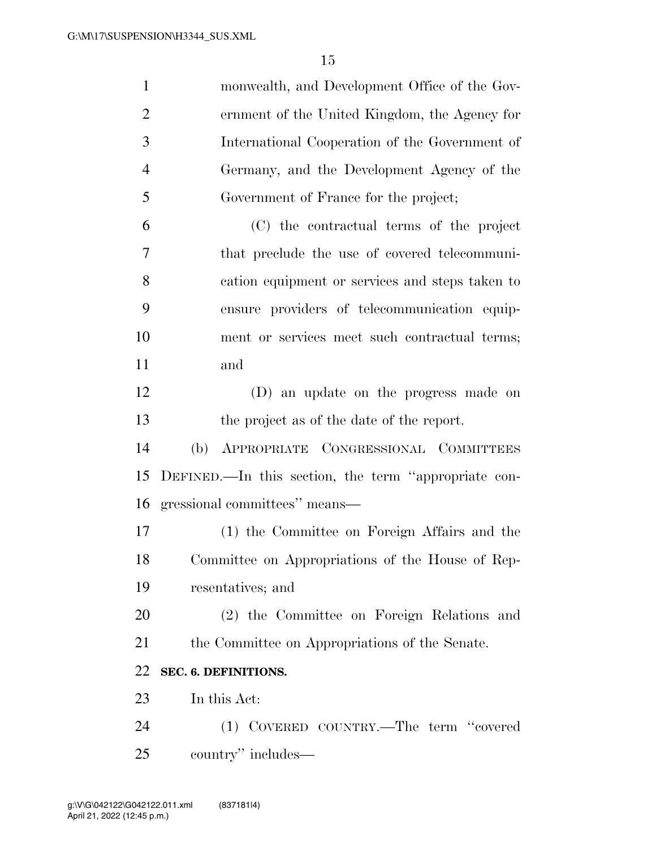| $\mathbf{1}$   | monwealth, and Development Office of the Gov-        |
|----------------|------------------------------------------------------|
| $\overline{2}$ | ernment of the United Kingdom, the Agency for        |
| 3              | International Cooperation of the Government of       |
| $\overline{4}$ | Germany, and the Development Agency of the           |
| 5              | Government of France for the project;                |
| 6              | (C) the contractual terms of the project             |
| 7              | that preclude the use of covered telecommuni-        |
| 8              | cation equipment or services and steps taken to      |
| 9              | ensure providers of telecommunication equip-         |
| 10             | ment or services meet such contractual terms;        |
| 11             | and                                                  |
| 12             | (D) an update on the progress made on                |
| 13             | the project as of the date of the report.            |
| 14             | APPROPRIATE CONGRESSIONAL COMMITTEES<br>(b)          |
| 15             | DEFINED.—In this section, the term "appropriate con- |
| 16             | gressional committees" means—                        |
| 17             | (1) the Committee on Foreign Affairs and the         |
| 18             | Committee on Appropriations of the House of Rep-     |
| 19             | resentatives; and                                    |
| 20             | (2) the Committee on Foreign Relations and           |
| 21             | the Committee on Appropriations of the Senate.       |
| 22             | SEC. 6. DEFINITIONS.                                 |
| 23             | In this Act:                                         |
| 24             | (1) COVERED COUNTRY.—The term "covered               |
| 25             | country" includes—                                   |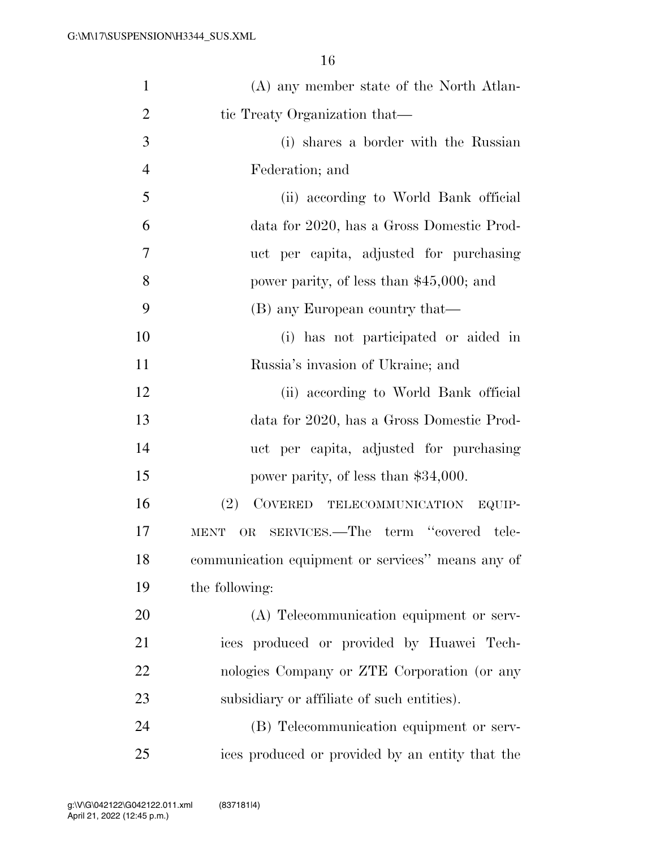| $\mathbf{1}$   | (A) any member state of the North Atlan-            |
|----------------|-----------------------------------------------------|
| $\overline{2}$ | tic Treaty Organization that—                       |
| 3              | (i) shares a border with the Russian                |
| $\overline{4}$ | Federation; and                                     |
| 5              | (ii) according to World Bank official               |
| 6              | data for 2020, has a Gross Domestic Prod-           |
| 7              | uct per capita, adjusted for purchasing             |
| 8              | power parity, of less than \$45,000; and            |
| 9              | (B) any European country that—                      |
| 10             | (i) has not participated or aided in                |
| 11             | Russia's invasion of Ukraine; and                   |
| 12             | (ii) according to World Bank official               |
| 13             | data for 2020, has a Gross Domestic Prod-           |
| 14             | uct per capita, adjusted for purchasing             |
| 15             | power parity, of less than \$34,000.                |
| 16             | (2)<br>COVERED TELECOMMUNICATION EQUIP-             |
| 17             | OR SERVICES.—The term "covered tele-<br><b>MENT</b> |
| 18             | communication equipment or services" means any of   |
| 19             | the following:                                      |
| 20             | (A) Telecommunication equipment or serv-            |
| 21             | ices produced or provided by Huawei Tech-           |
| 22             | nologies Company or ZTE Corporation (or any         |
| 23             | subsidiary or affiliate of such entities).          |
| 24             | (B) Telecommunication equipment or serv-            |
| 25             | ices produced or provided by an entity that the     |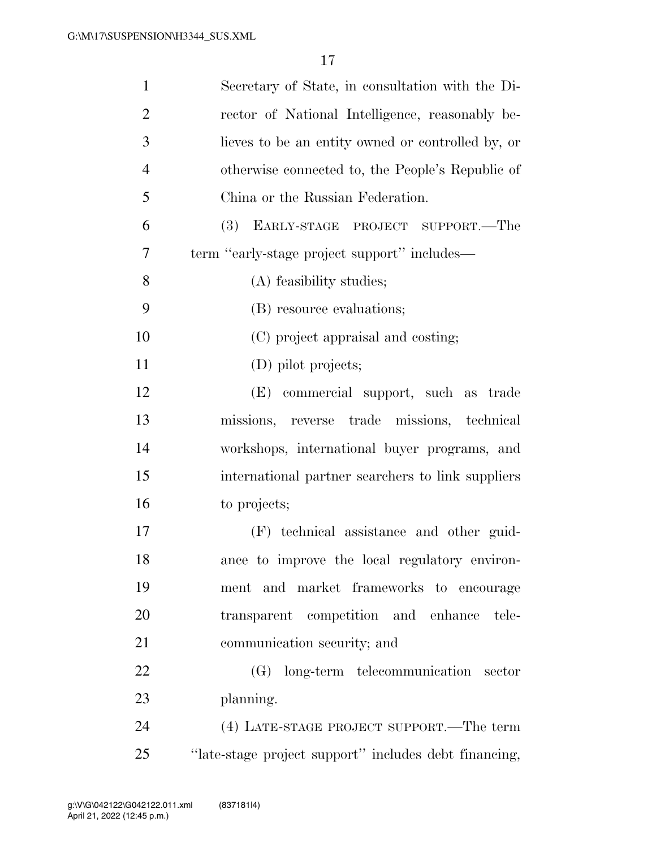| $\mathbf{1}$   | Secretary of State, in consultation with the Di-      |
|----------------|-------------------------------------------------------|
| $\overline{2}$ | rector of National Intelligence, reasonably be-       |
| 3              | lieves to be an entity owned or controlled by, or     |
| $\overline{4}$ | otherwise connected to, the People's Republic of      |
| 5              | China or the Russian Federation.                      |
| 6              | <b>(3)</b><br>EARLY-STAGE PROJECT SUPPORT.—The        |
| 7              | term "early-stage project support" includes—          |
| 8              | (A) feasibility studies;                              |
| 9              | (B) resource evaluations;                             |
| 10             | (C) project appraisal and costing;                    |
| 11             | (D) pilot projects;                                   |
| 12             | (E) commercial support, such as trade                 |
| 13             | missions, reverse trade missions, technical           |
| 14             | workshops, international buyer programs, and          |
| 15             | international partner searchers to link suppliers     |
| 16             | to projects;                                          |
| 17             | (F) technical assistance and other guid-              |
| 18             | ance to improve the local regulatory environ-         |
| 19             | ment and market frameworks to encourage               |
| 20             | transparent competition and enhance tele-             |
| 21             | communication security; and                           |
| 22             | (G) long-term telecommunication sector                |
| 23             | planning.                                             |
| 24             | (4) LATE-STAGE PROJECT SUPPORT.—The term              |
| 25             | "late-stage project support" includes debt financing, |